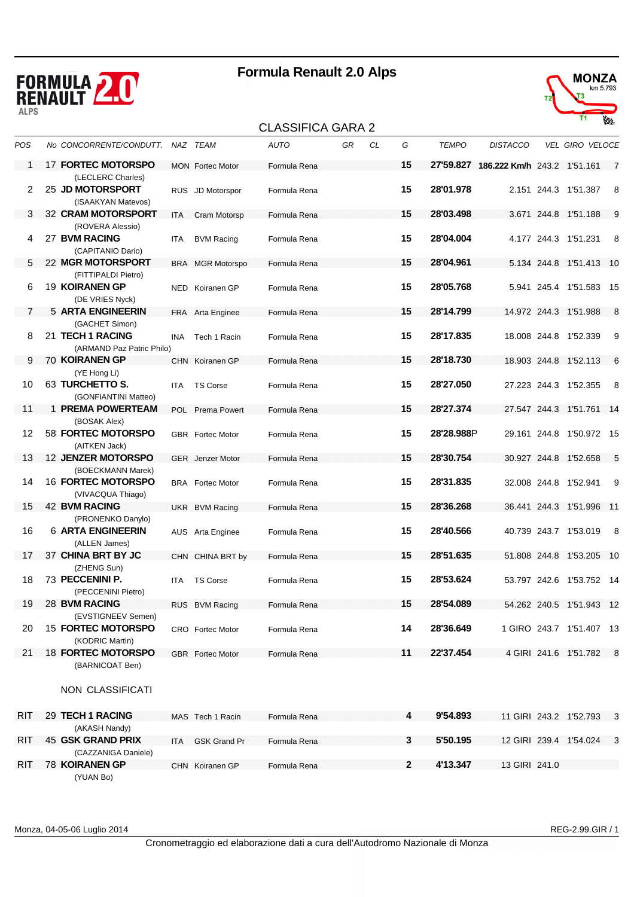

#### CLASSIFICA GARA 2



|            |                                                             |            |                         | ULAJJIFIUA UARA Z |    |    |              |              |                                       |                          |                |
|------------|-------------------------------------------------------------|------------|-------------------------|-------------------|----|----|--------------|--------------|---------------------------------------|--------------------------|----------------|
| POS        | No CONCORRENTE/CONDUTT. NAZ TEAM                            |            |                         | <b>AUTO</b>       | GR | CL | G            | <b>TEMPO</b> | <b>DISTACCO</b>                       | <b>VEL GIRO VELOCE</b>   |                |
| 1          | <b>17 FORTEC MOTORSPO</b>                                   |            | <b>MON</b> Fortec Motor | Formula Rena      |    |    | 15           |              | 27'59.827 186.222 Km/h 243.2 1'51.161 |                          | $\overline{7}$ |
| 2          | (LECLERC Charles)<br>25 JD MOTORSPORT<br>(ISAAKYAN Matevos) |            | RUS JD Motorspor        | Formula Rena      |    |    | 15           | 28'01.978    |                                       | 2.151 244.3 1'51.387     | - 8            |
| 3          | <b>32 CRAM MOTORSPORT</b><br>(ROVERA Alessio)               | <b>ITA</b> | Cram Motorsp            | Formula Rena      |    |    | 15           | 28'03.498    |                                       | 3.671 244.8 1'51.188     | 9              |
| 4          | 27 BVM RACING<br>(CAPITANIO Dario)                          | ITA        | <b>BVM Racing</b>       | Formula Rena      |    |    | 15           | 28'04.004    |                                       | 4.177 244.3 1'51.231     | 8              |
| 5          | 22 MGR MOTORSPORT                                           |            | <b>BRA</b> MGR Motorspo | Formula Rena      |    |    | 15           | 28'04.961    |                                       | 5.134 244.8 1'51.413 10  |                |
| 6          | (FITTIPALDI Pietro)<br>19 KOIRANEN GP<br>(DE VRIES Nyck)    |            | NED Koiranen GP         | Formula Rena      |    |    | 15           | 28'05.768    |                                       | 5.941 245.4 1'51.583 15  |                |
| 7          | 5 ARTA ENGINEERIN                                           |            | FRA Arta Enginee        | Formula Rena      |    |    | 15           | 28'14.799    |                                       | 14.972 244.3 1'51.988    | - 8            |
| 8          | (GACHET Simon)<br>21 TECH 1 RACING                          | INA        | Tech 1 Racin            | Formula Rena      |    |    | 15           | 28'17.835    |                                       | 18.008 244.8 1'52.339    | 9              |
| 9          | (ARMAND Paz Patric Philo)<br>70 KOIRANEN GP                 |            | CHN Koiranen GP         | Formula Rena      |    |    | 15           | 28'18.730    |                                       | 18.903 244.8 1'52.113    | 6              |
| 10         | (YE Hong Li)<br>63 TURCHETTO S.                             | <b>ITA</b> | <b>TS Corse</b>         | Formula Rena      |    |    | 15           | 28'27.050    |                                       | 27.223 244.3 1'52.355    | 8              |
| 11         | (GONFIANTINI Matteo)<br>1 PREMA POWERTEAM                   |            | POL Prema Powert        | Formula Rena      |    |    | 15           | 28'27.374    |                                       | 27.547 244.3 1'51.761 14 |                |
| 12         | (BOSAK Alex)<br>58 FORTEC MOTORSPO                          |            | <b>GBR</b> Fortec Motor | Formula Rena      |    |    | 15           | 28'28.988P   |                                       | 29.161 244.8 1'50.972 15 |                |
| 13         | (AITKEN Jack)<br><b>12 JENZER MOTORSPO</b>                  |            | <b>GER</b> Jenzer Motor | Formula Rena      |    |    | 15           | 28'30.754    |                                       | 30.927 244.8 1'52.658    | 5              |
| 14         | (BOECKMANN Marek)<br><b>16 FORTEC MOTORSPO</b>              |            | <b>BRA</b> Fortec Motor | Formula Rena      |    |    | 15           | 28'31.835    |                                       | 32.008 244.8 1'52.941    | 9              |
| 15         | (VIVACQUA Thiago)<br><b>42 BVM RACING</b>                   |            | UKR BVM Racing          | Formula Rena      |    |    | 15           | 28'36.268    |                                       | 36.441 244.3 1'51.996 11 |                |
| 16         | (PRONENKO Danylo)<br><b>6 ARTA ENGINEERIN</b>               |            | AUS Arta Enginee        | Formula Rena      |    |    | 15           | 28'40.566    |                                       | 40.739 243.7 1'53.019    | 8              |
| 17         | (ALLEN James)<br>37 CHINA BRT BY JC                         |            | CHN CHINA BRT by        | Formula Rena      |    |    | 15           | 28'51.635    |                                       | 51.808 244.8 1'53.205 10 |                |
| 18         | (ZHENG Sun)<br>73 PECCENINI P.                              | ITA.       | <b>TS Corse</b>         | Formula Rena      |    |    | 15           | 28'53.624    |                                       | 53.797 242.6 1'53.752 14 |                |
| 19         | (PECCENINI Pietro)                                          |            |                         |                   |    |    | 15           | 28'54.089    |                                       | 54.262 240.5 1'51.943 12 |                |
|            | 28 BVM RACING<br>(EVSTIGNEEV Semen)                         |            | RUS BVM Racing          | Formula Rena      |    |    |              |              |                                       |                          |                |
| 20         | <b>15 FORTEC MOTORSPO</b><br>(KODRIC Martin)                |            | CRO Fortec Motor        | Formula Rena      |    |    | 14           | 28'36.649    |                                       | 1 GIRO 243.7 1'51.407 13 |                |
| 21         | <b>18 FORTEC MOTORSPO</b><br>(BARNICOAT Ben)                |            | GBR Fortec Motor        | Formula Rena      |    |    | 11           | 22'37.454    |                                       | 4 GIRI 241.6 1'51.782 8  |                |
|            | NON CLASSIFICATI                                            |            |                         |                   |    |    |              |              |                                       |                          |                |
| <b>RIT</b> | 29 TECH 1 RACING                                            |            | MAS Tech 1 Racin        | Formula Rena      |    |    | 4            | 9'54.893     |                                       | 11 GIRI 243.2 1'52.793 3 |                |
| RIT        | (AKASH Nandy)<br><b>45 GSK GRAND PRIX</b>                   | ITA        | <b>GSK Grand Pr</b>     | Formula Rena      |    |    | 3            | 5'50.195     |                                       | 12 GIRI 239.4 1'54.024 3 |                |
|            | (CAZZANIGA Daniele)                                         |            |                         |                   |    |    |              |              |                                       |                          |                |
| RIT        | <b>78 KOIRANEN GP</b><br>(YUAN Bo)                          |            | CHN Koiranen GP         | Formula Rena      |    |    | $\mathbf{2}$ | 4'13.347     | 13 GIRI 241.0                         |                          |                |

Monza, 04-05-06 Luglio 2014 REG-2.99.GIR / 1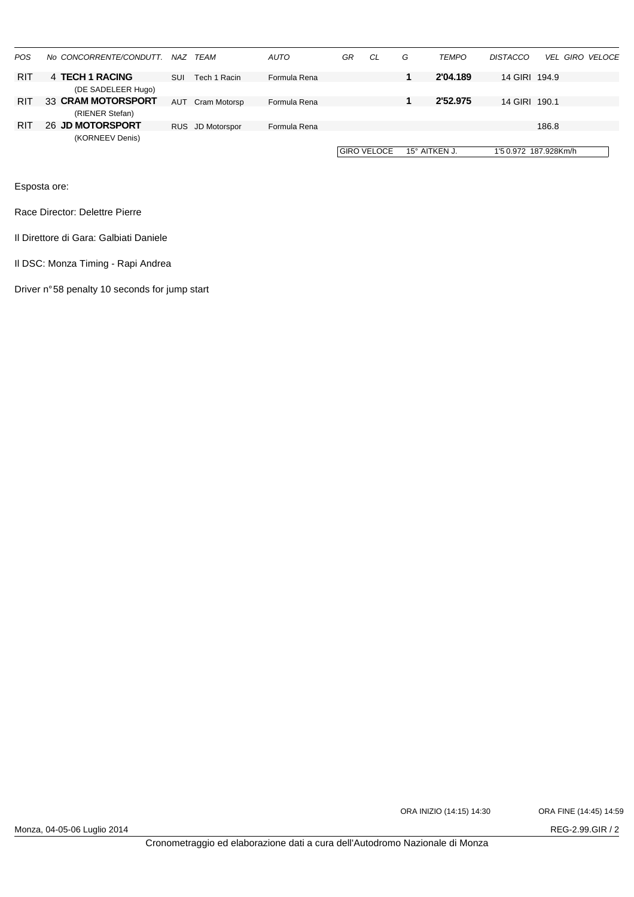| <b>POS</b> | No CONCORRENTE/CONDUTT. |            | NAZ TEAM         | <b>AUTO</b>  | GR | CL                 | G | <b>TEMPO</b>         | <b>DISTACCO</b>       |       | <b>VEL GIRO VELOCE</b> |
|------------|-------------------------|------------|------------------|--------------|----|--------------------|---|----------------------|-----------------------|-------|------------------------|
| <b>RIT</b> | 4 TECH 1 RACING         |            |                  |              |    |                    |   | 2'04.189             |                       |       |                        |
|            |                         | <b>SUI</b> | Tech 1 Racin     | Formula Rena |    |                    |   |                      | 14 GIRI 194.9         |       |                        |
|            | (DE SADELEER Hugo)      |            |                  |              |    |                    |   |                      |                       |       |                        |
| <b>RIT</b> | 33 CRAM MOTORSPORT      | AUT        | Cram Motorsp     | Formula Rena |    |                    |   | 2'52.975             | 14 GIRL 190.1         |       |                        |
|            | (RIENER Stefan)         |            |                  |              |    |                    |   |                      |                       |       |                        |
| RIT        | 26 JD MOTORSPORT        |            | RUS JD Motorspor | Formula Rena |    |                    |   |                      |                       | 186.8 |                        |
|            | (KORNEEV Denis)         |            |                  |              |    |                    |   |                      |                       |       |                        |
|            |                         |            |                  |              |    | <b>GIRO VELOCE</b> |   | $15^\circ$ AITKEN J. | 1'5 0.972 187.928Km/h |       |                        |
|            |                         |            |                  |              |    |                    |   |                      |                       |       |                        |

Race Director: Delettre Pierre

Il Direttore di Gara: Galbiati Daniele

Il DSC: Monza Timing - Rapi Andrea

Driver n° 58 penalty 10 seconds for jump start

ORA INIZIO (14:15) 14:30 ORA FINE (14:45) 14:59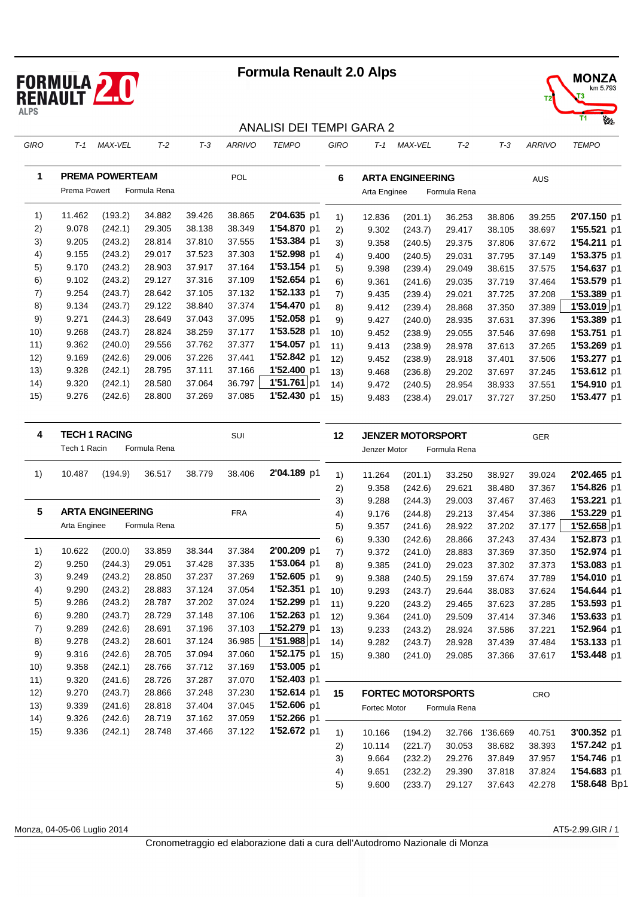



#### ANALISI DEI TEMPI GARA 2

| GIRO | $T-1$        | <b>MAX-VEL</b>         | $T-2$        | $T-3$  | <b>ARRIVO</b> | <b>TEMPO</b> | GIRO | $T-1$        | <b>MAX-VEL</b>          | $T-2$        | $T-3$  | <b>ARRIVO</b> | <b>TEMPO</b> |
|------|--------------|------------------------|--------------|--------|---------------|--------------|------|--------------|-------------------------|--------------|--------|---------------|--------------|
| 1    | Prema Powert | <b>PREMA POWERTEAM</b> | Formula Rena |        | POL           |              | 6    | Arta Enginee | <b>ARTA ENGINEERING</b> | Formula Rena |        | <b>AUS</b>    |              |
| 1)   | 11.462       | (193.2)                | 34.882       | 39.426 | 38.865        | 2'04.635 p1  | 1)   | 12.836       | (201.1)                 | 36.253       | 38.806 | 39.255        | 2'07.150 p1  |
| 2)   | 9.078        | (242.1)                | 29.305       | 38.138 | 38.349        | 1'54.870 p1  | 2)   | 9.302        | (243.7)                 | 29.417       | 38.105 | 38.697        | 1'55.521 p1  |
| 3)   | 9.205        | (243.2)                | 28.814       | 37.810 | 37.555        | 1'53.384 p1  | 3)   | 9.358        | (240.5)                 | 29.375       | 37.806 | 37.672        | 1'54.211 p1  |
| 4)   | 9.155        | (243.2)                | 29.017       | 37.523 | 37.303        | 1'52.998 p1  | 4)   | 9.400        | (240.5)                 | 29.031       | 37.795 | 37.149        | 1'53.375 p1  |
| 5)   | 9.170        | (243.2)                | 28.903       | 37.917 | 37.164        | 1'53.154 p1  | 5)   | 9.398        | (239.4)                 | 29.049       | 38.615 | 37.575        | 1'54.637 p1  |
| 6)   | 9.102        | (243.2)                | 29.127       | 37.316 | 37.109        | 1'52.654 p1  | 6)   | 9.361        | (241.6)                 | 29.035       | 37.719 | 37.464        | 1'53.579 p1  |
| 7)   | 9.254        | (243.7)                | 28.642       | 37.105 | 37.132        | 1'52.133 p1  | 7)   | 9.435        | (239.4)                 | 29.021       | 37.725 | 37.208        | 1'53.389 p1  |
| 8)   | 9.134        | (243.7)                | 29.122       | 38.840 | 37.374        | 1'54.470 p1  | 8)   | 9.412        | (239.4)                 | 28.868       | 37.350 | 37.389        | 1'53.019 p1  |
| 9)   | 9.271        | (244.3)                | 28.649       | 37.043 | 37.095        | 1'52.058 p1  | 9)   | 9.427        | (240.0)                 | 28.935       | 37.631 | 37.396        | 1'53.389 p1  |
| 10)  | 9.268        | (243.7)                | 28.824       | 38.259 | 37.177        | 1'53.528 p1  | 10)  | 9.452        | (238.9)                 | 29.055       | 37.546 | 37.698        | 1'53.751 p1  |
| 11)  | 9.362        | (240.0)                | 29.556       | 37.762 | 37.377        | 1'54.057 p1  | 11)  | 9.413        | (238.9)                 | 28.978       | 37.613 | 37.265        | 1'53.269 p1  |
| 12)  | 9.169        | (242.6)                | 29.006       | 37.226 | 37.441        | 1'52.842 p1  | 12)  | 9.452        | (238.9)                 | 28.918       | 37.401 | 37.506        | 1'53.277 p1  |
| 13)  | 9.328        | (242.1)                | 28.795       | 37.111 | 37.166        | 1'52.400 p1  | 13)  | 9.468        | (236.8)                 | 29.202       | 37.697 | 37.245        | 1'53.612 p1  |
| 14)  | 9.320        | (242.1)                | 28.580       | 37.064 | 36.797        | 1'51.761 p1  | (14) | 9.472        | (240.5)                 | 28.954       | 38.933 | 37.551        | 1'54.910 p1  |
| 15)  | 9.276        | (242.6)                | 28.800       | 37.269 | 37.085        | 1'52.430 p1  | 15)  | 9.483        | (238.4)                 | 29.017       | 37.727 | 37.250        | 1'53.477 p1  |

| 4   | Tech 1 Racin | <b>TECH 1 RACING</b>    | Formula Rena |        | SUI        |             | 12   | Jenzer Motor        | <b>JENZER MOTORSPORT</b>  | Formula Rena |          | <b>GER</b> |              |
|-----|--------------|-------------------------|--------------|--------|------------|-------------|------|---------------------|---------------------------|--------------|----------|------------|--------------|
|     |              |                         |              |        |            |             |      |                     |                           |              |          |            |              |
| 1)  | 10.487       | (194.9)                 | 36.517       | 38.779 | 38.406     | 2'04.189 p1 | 1)   | 11.264              | (201.1)                   | 33.250       | 38.927   | 39.024     | 2'02.465 p1  |
|     |              |                         |              |        |            |             | 2)   | 9.358               | (242.6)                   | 29.621       | 38.480   | 37.367     | 1'54.826 p1  |
|     |              |                         |              |        |            |             | 3)   | 9.288               | (244.3)                   | 29.003       | 37.467   | 37.463     | 1'53.221 p1  |
| 5   |              | <b>ARTA ENGINEERING</b> |              |        | <b>FRA</b> |             | 4)   | 9.176               | (244.8)                   | 29.213       | 37.454   | 37.386     | 1'53.229 p1  |
|     | Arta Enginee |                         | Formula Rena |        |            |             | 5)   | 9.357               | (241.6)                   | 28.922       | 37.202   | 37.177     | 1'52.658 p1  |
|     |              |                         |              |        |            |             | 6)   | 9.330               | (242.6)                   | 28.866       | 37.243   | 37.434     | 1'52.873 p1  |
| 1)  | 10.622       | (200.0)                 | 33.859       | 38.344 | 37.384     | 2'00.209 p1 | 7)   | 9.372               | (241.0)                   | 28.883       | 37.369   | 37.350     | 1'52.974 p1  |
| 2)  | 9.250        | (244.3)                 | 29.051       | 37.428 | 37.335     | 1'53.064 p1 | 8)   | 9.385               | (241.0)                   | 29.023       | 37.302   | 37.373     | 1'53.083 p1  |
| 3)  | 9.249        | (243.2)                 | 28.850       | 37.237 | 37.269     | 1'52.605 p1 | 9)   | 9.388               | (240.5)                   | 29.159       | 37.674   | 37.789     | 1'54.010 p1  |
| 4)  | 9.290        | (243.2)                 | 28.883       | 37.124 | 37.054     | 1'52.351 p1 | 10)  | 9.293               | (243.7)                   | 29.644       | 38.083   | 37.624     | 1'54.644 p1  |
| 5)  | 9.286        | (243.2)                 | 28.787       | 37.202 | 37.024     | 1'52.299 p1 | 11)  | 9.220               | (243.2)                   | 29.465       | 37.623   | 37.285     | 1'53.593 p1  |
| 6)  | 9.280        | (243.7)                 | 28.729       | 37.148 | 37.106     | 1'52.263 p1 | 12)  | 9.364               | (241.0)                   | 29.509       | 37.414   | 37.346     | 1'53.633 p1  |
| 7)  | 9.289        | (242.6)                 | 28.691       | 37.196 | 37.103     | 1'52.279 p1 | 13)  | 9.233               | (243.2)                   | 28.924       | 37.586   | 37.221     | 1'52.964 p1  |
| 8)  | 9.278        | (243.2)                 | 28.601       | 37.124 | 36.985     | 1'51.988 p1 | (14) | 9.282               | (243.7)                   | 28.928       | 37.439   | 37.484     | 1'53.133 p1  |
| 9)  | 9.316        | (242.6)                 | 28.705       | 37.094 | 37.060     | 1'52.175 p1 | 15)  | 9.380               | (241.0)                   | 29.085       | 37.366   | 37.617     | 1'53.448 p1  |
| 10) | 9.358        | (242.1)                 | 28.766       | 37.712 | 37.169     | 1'53.005 p1 |      |                     |                           |              |          |            |              |
| 11) | 9.320        | (241.6)                 | 28.726       | 37.287 | 37.070     | 1'52.403 p1 |      |                     |                           |              |          |            |              |
| 12) | 9.270        | (243.7)                 | 28.866       | 37.248 | 37.230     | 1'52.614 p1 | 15   |                     | <b>FORTEC MOTORSPORTS</b> |              |          | CRO        |              |
| 13) | 9.339        | (241.6)                 | 28.818       | 37.404 | 37.045     | 1'52.606 p1 |      | <b>Fortec Motor</b> |                           | Formula Rena |          |            |              |
| 14) | 9.326        | (242.6)                 | 28.719       | 37.162 | 37.059     | 1'52.266 p1 |      |                     |                           |              |          |            |              |
| 15) | 9.336        | (242.1)                 | 28.748       | 37.466 | 37.122     | 1'52.672 p1 | 1)   | 10.166              | (194.2)                   | 32.766       | 1'36.669 | 40.751     | 3'00.352 p1  |
|     |              |                         |              |        |            |             | 2)   | 10.114              | (221.7)                   | 30.053       | 38.682   | 38.393     | 1'57.242 p1  |
|     |              |                         |              |        |            |             | 3)   | 9.664               | (232.2)                   | 29.276       | 37.849   | 37.957     | 1'54.746 p1  |
|     |              |                         |              |        |            |             | 4)   | 9.651               | (232.2)                   | 29.390       | 37.818   | 37.824     | 1'54.683 p1  |
|     |              |                         |              |        |            |             | 5)   | 9.600               | (233.7)                   | 29.127       | 37.643   | 42.278     | 1'58.648 Bp1 |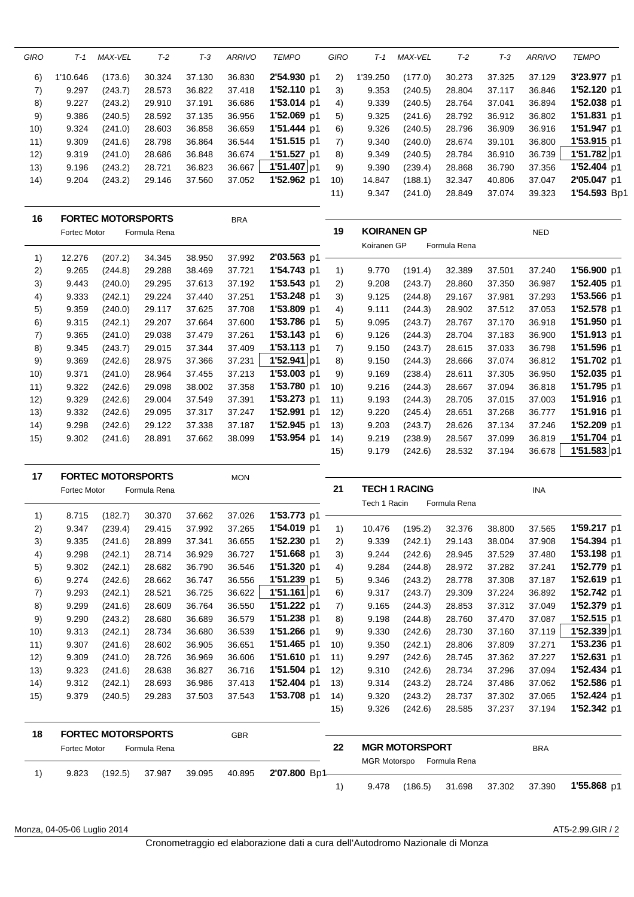| GIRO | T-1      | <b>MAX-VEL</b> | $T-2$  | T-3    | <b>ARRIVO</b> | <b>TEMPO</b> | <b>GIRO</b> | T-1      | MAX-VEL | $T-2$  | T-3    | <b>ARRIVO</b> | <b>TEMPO</b> |
|------|----------|----------------|--------|--------|---------------|--------------|-------------|----------|---------|--------|--------|---------------|--------------|
| 6)   | 1'10.646 | (173.6)        | 30.324 | 37.130 | 36.830        | 2'54.930 p1  | 2)          | 1'39.250 | (177.0) | 30.273 | 37.325 | 37.129        | 3'23.977 p1  |
| 7)   | 9.297    | (243.7)        | 28.573 | 36.822 | 37.418        | 1'52.110 p1  | 3)          | 9.353    | (240.5) | 28.804 | 37.117 | 36.846        | 1'52.120 p1  |
| 8)   | 9.227    | (243.2)        | 29.910 | 37.191 | 36.686        | 1'53.014 p1  | 4)          | 9.339    | (240.5) | 28.764 | 37.041 | 36.894        | 1'52.038 p1  |
| 9)   | 9.386    | (240.5)        | 28.592 | 37.135 | 36.956        | 1'52.069 p1  | 5)          | 9.325    | (241.6) | 28.792 | 36.912 | 36.802        | 1'51.831 p1  |
| 10)  | 9.324    | (241.0)        | 28.603 | 36.858 | 36.659        | 1'51.444 p1  | 6)          | 9.326    | (240.5) | 28.796 | 36,909 | 36.916        | 1'51.947 p1  |
| 11)  | 9.309    | (241.6)        | 28.798 | 36.864 | 36.544        | 1'51.515 p1  | 7)          | 9.340    | (240.0) | 28.674 | 39.101 | 36,800        | 1'53.915 p1  |
| 12)  | 9.319    | (241.0)        | 28.686 | 36.848 | 36.674        | 1'51.527 p1  | 8)          | 9.349    | (240.5) | 28.784 | 36.910 | 36.739        | 1'51.782 p1  |
| (13) | 9.196    | (243.2)        | 28.721 | 36.823 | 36.667        | 1'51.407 p1  | 9)          | 9.390    | (239.4) | 28.868 | 36.790 | 37.356        | 1'52.404 p1  |
| 14)  | 9.204    | (243.2)        | 29.146 | 37.560 | 37.052        | 1'52.962 p1  | 10)         | 14.847   | (188.1) | 32.347 | 40.806 | 37.047        | 2'05.047 p1  |
|      |          |                |        |        |               |              | 11)         | 9.347    | (241.0) | 28.849 | 37.074 | 39.323        | 1'54.593 Bp1 |

| 16   | Fortec Motor | <b>FORTEC MOTORSPORTS</b> | Formula Rena |        | <b>BRA</b> |             | 19   | <b>KOIRANEN GP</b> |         |              |        | <b>NED</b> |             |
|------|--------------|---------------------------|--------------|--------|------------|-------------|------|--------------------|---------|--------------|--------|------------|-------------|
|      |              |                           |              |        |            |             |      | Koiranen GP        |         | Formula Rena |        |            |             |
| 1)   | 12.276       | (207.2)                   | 34.345       | 38.950 | 37.992     | 2'03.563 p1 |      |                    |         |              |        |            |             |
| 2)   | 9.265        | (244.8)                   | 29.288       | 38.469 | 37.721     | 1'54.743 p1 | 1)   | 9.770              | (191.4) | 32.389       | 37.501 | 37.240     | 1'56.900 p1 |
| 3)   | 9.443        | (240.0)                   | 29.295       | 37.613 | 37.192     | 1'53.543 p1 | 2)   | 9.208              | (243.7) | 28.860       | 37.350 | 36.987     | 1'52.405 p1 |
| 4)   | 9.333        | (242.1)                   | 29.224       | 37.440 | 37.251     | 1'53.248 p1 | 3)   | 9.125              | (244.8) | 29.167       | 37.981 | 37.293     | 1'53.566 p1 |
| 5)   | 9.359        | (240.0)                   | 29.117       | 37.625 | 37.708     | 1'53.809 p1 | 4)   | 9.111              | (244.3) | 28.902       | 37.512 | 37.053     | 1'52.578 p1 |
| 6)   | 9.315        | (242.1)                   | 29.207       | 37.664 | 37.600     | 1'53.786 p1 | 5)   | 9.095              | (243.7) | 28.767       | 37.170 | 36.918     | 1'51.950 p1 |
| 7)   | 9.365        | (241.0)                   | 29.038       | 37.479 | 37.261     | 1'53.143 p1 | 6)   | 9.126              | (244.3) | 28.704       | 37.183 | 36.900     | 1'51.913 p1 |
| 8)   | 9.345        | (243.7)                   | 29.015       | 37.344 | 37.409     | 1'53.113 p1 | 7)   | 9.150              | (243.7) | 28.615       | 37.033 | 36.798     | 1'51.596 p1 |
| 9)   | 9.369        | (242.6)                   | 28.975       | 37.366 | 37.231     | 1'52.941 p1 | 8)   | 9.150              | (244.3) | 28.666       | 37.074 | 36.812     | 1'51.702 p1 |
| 10)  | 9.371        | (241.0)                   | 28.964       | 37.455 | 37.213     | 1'53.003 p1 | 9)   | 9.169              | (238.4) | 28.611       | 37.305 | 36.950     | 1'52.035 p1 |
| 11)  | 9.322        | (242.6)                   | 29.098       | 38.002 | 37.358     | 1'53.780 p1 | 10)  | 9.216              | (244.3) | 28.667       | 37.094 | 36.818     | 1'51.795 p1 |
| 12)  | 9.329        | (242.6)                   | 29.004       | 37.549 | 37.391     | 1'53.273 p1 | 11)  | 9.193              | (244.3) | 28.705       | 37.015 | 37.003     | 1'51.916 p1 |
| (13) | 9.332        | (242.6)                   | 29.095       | 37.317 | 37.247     | 1'52.991 p1 | 12)  | 9.220              | (245.4) | 28.651       | 37.268 | 36.777     | 1'51.916 p1 |
| 14)  | 9.298        | (242.6)                   | 29.122       | 37.338 | 37.187     | 1'52.945 p1 | (13) | 9.203              | (243.7) | 28.626       | 37.134 | 37.246     | 1'52.209 p1 |
| 15)  | 9.302        | (241.6)                   | 28.891       | 37.662 | 38.099     | 1'53.954 p1 | 14)  | 9.219              | (238.9) | 28.567       | 37.099 | 36.819     | 1'51.704 p1 |
|      |              |                           |              |        |            |             | 15)  | 9.179              | (242.6) | 28.532       | 37.194 | 36.678     | 1'51.583 p1 |

| 17  |              | <b>FORTEC MOTORSPORTS</b> |              |        | <b>MON</b> |             |      |              |                      |              |        |            |             |
|-----|--------------|---------------------------|--------------|--------|------------|-------------|------|--------------|----------------------|--------------|--------|------------|-------------|
|     | Fortec Motor |                           | Formula Rena |        |            |             | 21   |              | <b>TECH 1 RACING</b> |              |        | <b>INA</b> |             |
|     |              |                           |              |        |            |             |      | Tech 1 Racin |                      | Formula Rena |        |            |             |
| 1)  | 8.715        | (182.7)                   | 30.370       | 37.662 | 37.026     | 1'53.773 p1 |      |              |                      |              |        |            |             |
| 2)  | 9.347        | (239.4)                   | 29.415       | 37.992 | 37.265     | 1'54.019 p1 | 1)   | 10.476       | (195.2)              | 32.376       | 38.800 | 37.565     | 1'59.217 p1 |
| 3)  | 9.335        | (241.6)                   | 28.899       | 37.341 | 36.655     | 1'52.230 p1 | 2)   | 9.339        | (242.1)              | 29.143       | 38.004 | 37.908     | 1'54.394 p1 |
| 4)  | 9.298        | (242.1)                   | 28.714       | 36.929 | 36.727     | 1'51.668 p1 | 3)   | 9.244        | (242.6)              | 28.945       | 37.529 | 37.480     | 1'53.198 p1 |
| 5)  | 9.302        | (242.1)                   | 28.682       | 36.790 | 36.546     | 1'51.320 p1 | 4)   | 9.284        | (244.8)              | 28.972       | 37.282 | 37.241     | 1'52.779 p1 |
| 6)  | 9.274        | (242.6)                   | 28.662       | 36.747 | 36.556     | 1'51.239 p1 | 5)   | 9.346        | (243.2)              | 28.778       | 37.308 | 37.187     | 1'52.619 p1 |
| 7)  | 9.293        | (242.1)                   | 28.521       | 36.725 | 36.622     | 1'51.161 p1 | 6)   | 9.317        | (243.7)              | 29.309       | 37.224 | 36.892     | 1'52.742 p1 |
| 8)  | 9.299        | (241.6)                   | 28.609       | 36.764 | 36.550     | 1'51.222 p1 | 7)   | 9.165        | (244.3)              | 28.853       | 37.312 | 37.049     | 1'52.379 p1 |
| 9)  | 9.290        | (243.2)                   | 28.680       | 36.689 | 36.579     | 1'51.238 p1 | 8)   | 9.198        | (244.8)              | 28.760       | 37.470 | 37.087     | 1'52.515 p1 |
| 10) | 9.313        | (242.1)                   | 28.734       | 36.680 | 36.539     | 1'51.266 p1 | 9)   | 9.330        | (242.6)              | 28.730       | 37.160 | 37.119     | 1'52.339 p1 |
| 11) | 9.307        | (241.6)                   | 28.602       | 36.905 | 36.651     | 1'51.465 p1 | 10)  | 9.350        | (242.1)              | 28.806       | 37.809 | 37.271     | 1'53.236 p1 |
| 12) | 9.309        | (241.0)                   | 28.726       | 36.969 | 36.606     | 1'51.610 p1 | 11)  | 9.297        | (242.6)              | 28.745       | 37.362 | 37.227     | 1'52.631 p1 |
| 13) | 9.323        | (241.6)                   | 28.638       | 36.827 | 36.716     | 1'51.504 p1 | 12)  | 9.310        | (242.6)              | 28.734       | 37.296 | 37.094     | 1'52.434 p1 |
| 14) | 9.312        | (242.1)                   | 28.693       | 36.986 | 37.413     | 1'52.404 p1 | (13) | 9.314        | (243.2)              | 28.724       | 37.486 | 37.062     | 1'52.586 p1 |
| 15) | 9.379        | (240.5)                   | 29.283       | 37.503 | 37.543     | 1'53.708 p1 | 14)  | 9.320        | (243.2)              | 28.737       | 37.302 | 37.065     | 1'52.424 p1 |
|     |              |                           |              |        |            |             | 15)  | 9.326        | (242.6)              | 28.585       | 37.237 | 37.194     | 1'52.342 p1 |

| 18 |              | <b>FORTEC MOTORSPORTS</b> |              |        | <b>GBR</b> |    |       |                           |                      |            |                    |
|----|--------------|---------------------------|--------------|--------|------------|----|-------|---------------------------|----------------------|------------|--------------------|
|    | Fortec Motor |                           | Formula Rena |        |            | 22 |       | <b>MGR MOTORSPORT</b>     |                      | <b>BRA</b> |                    |
|    | 9.823        | (192.5)                   | 37.987       | 39.095 | 40.895     |    |       | MGR Motorspo Formula Rena |                      |            |                    |
|    |              |                           |              |        |            |    | 9.478 | (186.5)                   | 31.698 37.302 37.390 |            | <b>1'55.868</b> p1 |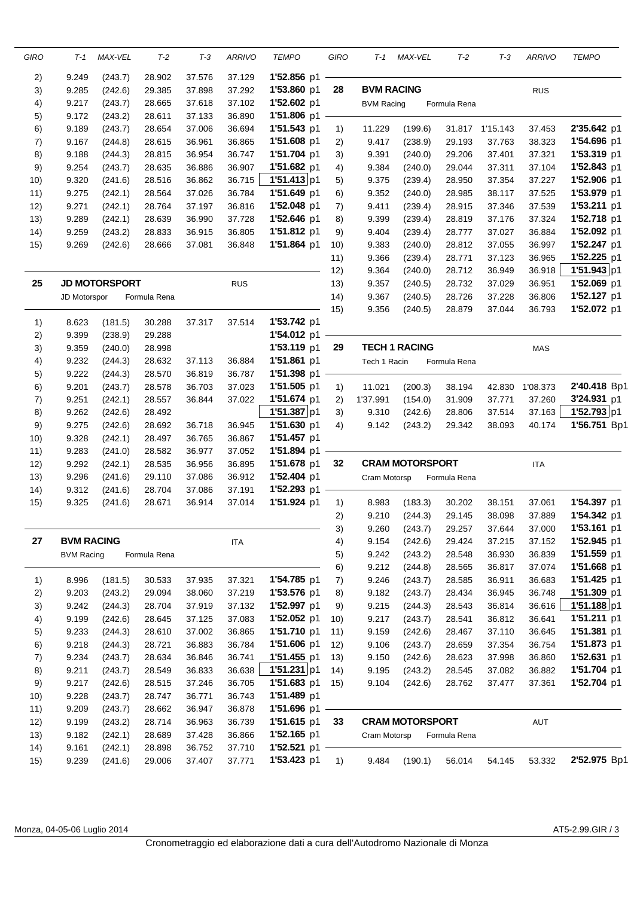| GIRO     | T-1               | MAX-VEL              | $T-2$            | $T-3$            | <b>ARRIVO</b>    | <b>TEMPO</b>               | GIRO       | T-1               | MAX-VEL                | T-2              | $T-3$            | <b>ARRIVO</b>    | <b>TEMPO</b>               |
|----------|-------------------|----------------------|------------------|------------------|------------------|----------------------------|------------|-------------------|------------------------|------------------|------------------|------------------|----------------------------|
| 2)       | 9.249             | (243.7)              | 28.902           | 37.576           | 37.129           | 1'52.856 p1                |            |                   |                        |                  |                  |                  |                            |
| 3)       | 9.285             | (242.6)              | 29.385           | 37.898           | 37.292           | 1'53.860 p1                | 28         | <b>BVM RACING</b> |                        |                  |                  | <b>RUS</b>       |                            |
| 4)       | 9.217             | (243.7)              | 28.665           | 37.618           | 37.102           | 1'52.602 p1                |            | <b>BVM Racing</b> |                        | Formula Rena     |                  |                  |                            |
| 5)       | 9.172             | (243.2)              | 28.611           | 37.133           | 36.890           | 1'51.806 p1                |            |                   |                        |                  |                  |                  |                            |
| 6)       | 9.189             | (243.7)              | 28.654           | 37.006           | 36.694           | 1'51.543 p1                | 1)         | 11.229            | (199.6)                | 31.817           | 1'15.143         | 37.453           | 2'35.642 p1                |
| 7)       | 9.167             | (244.8)              | 28.615           | 36.961           | 36.865           | 1'51.608 p1                | 2)         | 9.417             | (238.9)                | 29.193           | 37.763           | 38.323           | 1'54.696 p1                |
| 8)       | 9.188             | (244.3)              | 28.815           | 36.954           | 36.747           | 1'51.704 p1                | 3)         | 9.391             | (240.0)                | 29.206           | 37.401           | 37.321           | 1'53.319 p1                |
| 9)       | 9.254             | (243.7)              | 28.635           | 36.886           | 36.907           | 1'51.682 p1                | 4)         | 9.384             | (240.0)                | 29.044           | 37.311           | 37.104           | 1'52.843 p1                |
| 10)      | 9.320             | (241.6)              | 28.516           | 36.862           | 36.715           | 1'51.413 p1                | 5)         | 9.375             | (239.4)                | 28.950           | 37.354           | 37.227           | 1'52.906 p1                |
| 11)      | 9.275             | (242.1)              | 28.564           | 37.026           | 36.784           | 1'51.649 p1                | 6)         | 9.352             | (240.0)                | 28.985           | 38.117           | 37.525           | 1'53.979 p1                |
| 12)      | 9.271             | (242.1)              | 28.764           | 37.197           | 36.816           | 1'52.048 p1                | 7)         | 9.411             | (239.4)                | 28.915           | 37.346           | 37.539           | 1'53.211 p1                |
| 13)      | 9.289             | (242.1)              | 28.639           | 36.990           | 37.728           | 1'52.646 p1                | 8)         | 9.399             | (239.4)                | 28.819           | 37.176           | 37.324           | 1'52.718 p1                |
| 14)      | 9.259             | (243.2)              | 28.833           | 36.915           | 36.805           | 1'51.812 p1                | 9)         | 9.404             | (239.4)                | 28.777           | 37.027           | 36.884           | 1'52.092 p1                |
| 15)      | 9.269             | (242.6)              | 28.666           | 37.081           | 36.848           | 1'51.864 p1                | 10)        | 9.383             | (240.0)                | 28.812           | 37.055           | 36.997           | 1'52.247 p1                |
|          |                   |                      |                  |                  |                  |                            | 11)        | 9.366             | (239.4)                | 28.771           | 37.123           | 36.965           | 1'52.225 p1                |
|          |                   |                      |                  |                  |                  |                            | 12)        | 9.364             | (240.0)                | 28.712           | 36.949           | 36.918           | 1'51.943 p1                |
| 25       |                   | <b>JD MOTORSPORT</b> |                  |                  | <b>RUS</b>       |                            | 13)        | 9.357             | (240.5)                | 28.732           | 37.029           | 36.951           | 1'52.069 p1                |
|          | JD Motorspor      |                      | Formula Rena     |                  |                  |                            | 14)        | 9.367             | (240.5)                | 28.726           | 37.228           | 36.806           | 1'52.127 p1                |
|          |                   |                      |                  |                  |                  |                            | 15)        | 9.356             | (240.5)                | 28.879           | 37.044           | 36.793           | 1'52.072 p1                |
| 1)       | 8.623             | (181.5)              | 30.288           | 37.317           | 37.514           | 1'53.742 p1                |            |                   |                        |                  |                  |                  |                            |
| 2)       | 9.399             | (238.9)              | 29.288           |                  |                  | 1'54.012 p1                |            |                   |                        |                  |                  |                  |                            |
| 3)       | 9.359             | (240.0)              | 28.998           |                  |                  | 1'53.119 p1                | 29         |                   | <b>TECH 1 RACING</b>   |                  |                  | <b>MAS</b>       |                            |
| 4)       | 9.232             | (244.3)              | 28.632           | 37.113           | 36.884           | 1'51.861 p1                |            | Tech 1 Racin      |                        | Formula Rena     |                  |                  |                            |
| 5)       | 9.222             | (244.3)              | 28.570           | 36.819           | 36.787           | 1'51.398 p1                |            |                   |                        |                  |                  |                  |                            |
| 6)       | 9.201             | (243.7)              | 28.578           | 36.703           | 37.023           | 1'51.505 p1                | 1)         | 11.021            | (200.3)                | 38.194           | 42.830           | 1'08.373         | 2'40.418 Bp1               |
| 7)       | 9.251             | (242.1)              | 28.557           | 36.844           | 37.022           | 1'51.674 p1                | 2)         | 1'37.991          | (154.0)                | 31.909           | 37.771           | 37.260           | 3'24.931 p1                |
| 8)       | 9.262             | (242.6)              | 28.492           |                  |                  | 1'51.387 p1                | 3)         | 9.310             | (242.6)                | 28.806           | 37.514           | 37.163           | 1'52.793 p1                |
| 9)       | 9.275             | (242.6)              | 28.692           | 36.718           | 36.945           | 1'51.630 p1                | 4)         | 9.142             | (243.2)                | 29.342           | 38.093           | 40.174           | 1'56.751 Bp1               |
| 10)      | 9.328             | (242.1)              | 28.497           | 36.765           | 36.867           | 1'51.457 p1                |            |                   |                        |                  |                  |                  |                            |
| 11)      | 9.283             | (241.0)              | 28.582           | 36.977           | 37.052           | 1'51.894 p1                |            |                   |                        |                  |                  |                  |                            |
| 12)      | 9.292             | (242.1)              | 28.535           | 36.956           | 36.895           | 1'51.678 p1                | 32         |                   | <b>CRAM MOTORSPORT</b> |                  |                  | <b>ITA</b>       |                            |
| 13)      | 9.296             | (241.6)              | 29.110           | 37.086           | 36.912           | 1'52.404 p1                |            | Cram Motorsp      |                        | Formula Rena     |                  |                  |                            |
| (14)     | 9.312             | (241.6)              | 28.704           | 37.086           | 37.191           | 1'52.293 p1                |            |                   |                        |                  |                  |                  |                            |
| 15)      | 9.325             | (241.6)              | 28.671           | 36.914           | 37.014           | 1'51.924 p1                | 1)         | 8.983             | (183.3)                | 30.202           | 38.151           | 37.061           | 1'54.397 p1                |
|          |                   |                      |                  |                  |                  |                            | 2)         | 9.210             | (244.3)                | 29.145           | 38.098           | 37.889           | 1'54.342 p1                |
|          |                   |                      |                  |                  |                  |                            | 3)         | 9.260             | (243.7)                | 29.257           | 37.644           | 37.000           | 1'53.161 p1                |
| 27       | <b>BVM RACING</b> |                      |                  |                  | <b>ITA</b>       |                            | 4)         | 9.154             | (242.6)                | 29.424           | 37.215           | 37.152           | 1'52.945 p1                |
|          | <b>BVM Racing</b> |                      | Formula Rena     |                  |                  |                            | 5)         | 9.242             | (243.2)                | 28.548           | 36.930           | 36.839           | 1'51.559 p1                |
|          |                   |                      |                  |                  |                  |                            | 6)         | 9.212             | (244.8)                | 28.565           | 36.817           | 37.074           | 1'51.668 p1                |
| 1)       | 8.996             | (181.5)              | 30.533           | 37.935           | 37.321           | 1'54.785 p1                | 7)         | 9.246             | (243.7)                | 28.585           | 36.911           | 36.683           | 1'51.425 p1<br>1'51.309 p1 |
| 2)       | 9.203             | (243.2)              | 29.094           | 38.060<br>37.919 | 37.219<br>37.132 | 1'53.576 p1<br>1'52.997 p1 | 8)<br>9)   | 9.182<br>9.215    | (243.7)                | 28.434<br>28.543 | 36.945<br>36.814 | 36.748<br>36.616 | 1'51.188 p1                |
| 3)       | 9.242             | (244.3)              | 28.704           |                  |                  | 1'52.052 p1                |            |                   | (244.3)                |                  |                  | 36.641           | 1'51.211 p1                |
| 4)       | 9.199             | (242.6)              | 28.645<br>28.610 | 37.125<br>37.002 | 37.083<br>36.865 | 1'51.710 p1                | 10)<br>11) | 9.217<br>9.159    | (243.7)                | 28.541           | 36.812           | 36.645           | 1'51.381 p1                |
| 5)       | 9.233<br>9.218    | (244.3)<br>(244.3)   | 28.721           | 36.883           | 36.784           | 1'51.606 p1                | 12)        | 9.106             | (242.6)<br>(243.7)     | 28.467<br>28.659 | 37.110<br>37.354 | 36.754           | 1'51.873 p1                |
| 6)<br>7) | 9.234             | (243.7)              | 28.634           | 36.846           | 36.741           | 1'51.455 p1                | 13)        | 9.150             | (242.6)                | 28.623           | 37.998           | 36.860           | 1'52.631 p1                |
| 8)       | 9.211             | (243.7)              | 28.549           | 36.833           | 36.638           | 1'51.231 p1                | 14)        | 9.195             | (243.2)                | 28.545           | 37.082           | 36.882           | 1'51.704 p1                |
| 9)       | 9.217             | (242.6)              | 28.515           | 37.246           | 36.705           | 1'51.683 p1                | 15)        | 9.104             | (242.6)                | 28.762           | 37.477           | 37.361           | 1'52.704 p1                |
| 10)      | 9.228             | (243.7)              | 28.747           | 36.771           | 36.743           | 1'51.489 p1                |            |                   |                        |                  |                  |                  |                            |
| 11)      | 9.209             | (243.7)              | 28.662           | 36.947           | 36.878           | 1'51.696 p1                |            |                   |                        |                  |                  |                  |                            |
| 12)      | 9.199             | (243.2)              | 28.714           | 36.963           | 36.739           | 1'51.615 p1                | 33         |                   | <b>CRAM MOTORSPORT</b> |                  |                  | AUT              |                            |
| 13)      | 9.182             | (242.1)              | 28.689           | 37.428           | 36.866           | $1'52.165$ p1              |            | Cram Motorsp      |                        | Formula Rena     |                  |                  |                            |
| (14)     | 9.161             | (242.1)              | 28.898           | 36.752           | 37.710           | 1'52.521 p1                |            |                   |                        |                  |                  |                  |                            |
| 15)      | 9.239             | (241.6)              | 29.006           | 37.407           | 37.771           | 1'53.423 p1                | 1)         | 9.484             | (190.1)                | 56.014           | 54.145           | 53.332           | 2'52.975 Bp1               |
|          |                   |                      |                  |                  |                  |                            |            |                   |                        |                  |                  |                  |                            |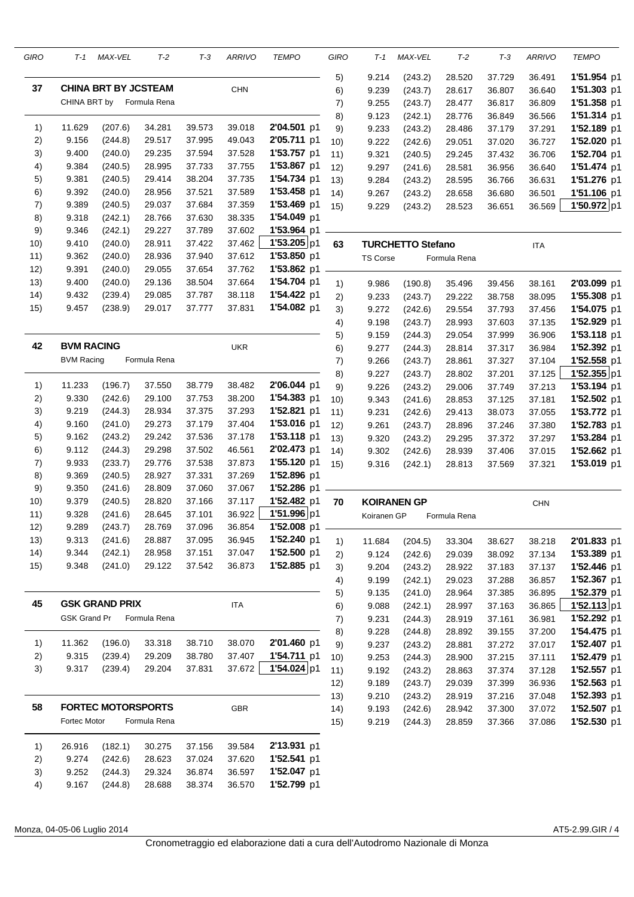| GIRO | T-1                 | MAX-VEL                     | $T-2$        | T-3    | <b>ARRIVO</b> | <b>TEMPO</b> | GIRO | T-1             | MAX-VEL                  | T-2          | $T-3$  | <b>ARRIVO</b> | <b>TEMPO</b> |
|------|---------------------|-----------------------------|--------------|--------|---------------|--------------|------|-----------------|--------------------------|--------------|--------|---------------|--------------|
|      |                     |                             |              |        |               |              | 5)   | 9.214           | (243.2)                  | 28.520       | 37.729 | 36.491        | 1'51.954 p1  |
| 37   |                     | <b>CHINA BRT BY JCSTEAM</b> |              |        | <b>CHN</b>    |              | 6)   | 9.239           | (243.7)                  | 28.617       | 36.807 | 36.640        | 1'51.303 p1  |
|      | CHINA BRT by        |                             | Formula Rena |        |               |              | 7)   | 9.255           | (243.7)                  | 28.477       | 36.817 | 36.809        | 1'51.358 p1  |
|      |                     |                             |              |        |               |              | 8)   | 9.123           | (242.1)                  | 28.776       | 36.849 | 36.566        | 1'51.314 p1  |
| 1)   | 11.629              | (207.6)                     | 34.281       | 39.573 | 39.018        | 2'04.501 p1  | 9)   | 9.233           | (243.2)                  | 28.486       | 37.179 | 37.291        | 1'52.189 p1  |
| 2)   | 9.156               | (244.8)                     | 29.517       | 37.995 | 49.043        | 2'05.711 p1  | 10)  | 9.222           | (242.6)                  | 29.051       | 37.020 | 36.727        | 1'52.020 p1  |
| 3)   | 9.400               | (240.0)                     | 29.235       | 37.594 | 37.528        | 1'53.757 p1  | 11)  | 9.321           | (240.5)                  | 29.245       | 37.432 | 36.706        | 1'52.704 p1  |
| 4)   | 9.384               | (240.5)                     | 28.995       | 37.733 | 37.755        | 1'53.867 p1  | 12)  | 9.297           | (241.6)                  | 28.581       | 36.956 | 36.640        | 1'51.474 p1  |
| 5)   | 9.381               | (240.5)                     | 29.414       | 38.204 | 37.735        | 1'54.734 p1  | 13)  | 9.284           | (243.2)                  | 28.595       | 36.766 | 36.631        | 1'51.276 p1  |
| 6)   | 9.392               | (240.0)                     | 28.956       | 37.521 | 37.589        | 1'53.458 p1  | (14) | 9.267           | (243.2)                  | 28.658       | 36.680 | 36.501        | 1'51.106 p1  |
| 7)   | 9.389               | (240.5)                     | 29.037       | 37.684 | 37.359        | 1'53.469 p1  | 15)  | 9.229           | (243.2)                  | 28.523       | 36.651 | 36.569        | 1'50.972 p1  |
| 8)   | 9.318               | (242.1)                     | 28.766       | 37.630 | 38.335        | 1'54.049 p1  |      |                 |                          |              |        |               |              |
| 9)   | 9.346               | (242.1)                     | 29.227       | 37.789 | 37.602        | 1'53.964 p1  |      |                 |                          |              |        |               |              |
| 10)  | 9.410               | (240.0)                     | 28.911       | 37.422 | 37.462        | 1'53.205 p1  | 63   |                 | <b>TURCHETTO Stefano</b> |              |        | <b>ITA</b>    |              |
| 11)  | 9.362               | (240.0)                     | 28.936       | 37.940 | 37.612        | 1'53.850 p1  |      | <b>TS Corse</b> |                          | Formula Rena |        |               |              |
| 12)  | 9.391               | (240.0)                     | 29.055       | 37.654 | 37.762        | 1'53.862 p1  |      |                 |                          |              |        |               |              |
| 13)  | 9.400               | (240.0)                     | 29.136       | 38.504 | 37.664        | 1'54.704 p1  | 1)   | 9.986           | (190.8)                  | 35.496       | 39.456 | 38.161        | 2'03.099 p1  |
| 14)  | 9.432               | (239.4)                     | 29.085       | 37.787 | 38.118        | 1'54.422 p1  | 2)   | 9.233           | (243.7)                  | 29.222       | 38.758 | 38.095        | 1'55.308 p1  |
| 15)  | 9.457               | (238.9)                     | 29.017       | 37.777 | 37.831        | 1'54.082 p1  | 3)   | 9.272           | (242.6)                  | 29.554       | 37.793 | 37.456        | 1'54.075 p1  |
|      |                     |                             |              |        |               |              | 4)   | 9.198           | (243.7)                  | 28.993       | 37.603 | 37.135        | 1'52.929 p1  |
|      |                     |                             |              |        |               |              | 5)   | 9.159           | (244.3)                  | 29.054       | 37.999 | 36.906        | 1'53.118 p1  |
| 42   | <b>BVM RACING</b>   |                             |              |        | <b>UKR</b>    |              | 6)   | 9.277           | (244.3)                  | 28.814       | 37.317 | 36.984        | 1'52.392 p1  |
|      | <b>BVM Racing</b>   |                             | Formula Rena |        |               |              | 7)   | 9.266           | (243.7)                  | 28.861       | 37.327 | 37.104        | 1'52.558 p1  |
|      |                     |                             |              |        |               |              | 8)   | 9.227           | (243.7)                  | 28.802       | 37.201 | 37.125        | 1'52.355 p1  |
| 1)   | 11.233              | (196.7)                     | 37.550       | 38.779 | 38.482        | 2'06.044 p1  | 9)   | 9.226           | (243.2)                  | 29.006       | 37.749 | 37.213        | 1'53.194 p1  |
| 2)   | 9.330               | (242.6)                     | 29.100       | 37.753 | 38.200        | 1'54.383 p1  | 10)  | 9.343           | (241.6)                  | 28.853       | 37.125 | 37.181        | 1'52.502 p1  |
| 3)   | 9.219               | (244.3)                     | 28.934       | 37.375 | 37.293        | 1'52.821 p1  | 11)  | 9.231           | (242.6)                  | 29.413       | 38.073 | 37.055        | 1'53.772 p1  |
| 4)   | 9.160               | (241.0)                     | 29.273       | 37.179 | 37.404        | 1'53.016 p1  | 12)  | 9.261           | (243.7)                  | 28.896       | 37.246 | 37.380        | 1'52.783 p1  |
| 5)   | 9.162               | (243.2)                     | 29.242       | 37.536 | 37.178        | 1'53.118 p1  | 13)  | 9.320           | (243.2)                  | 29.295       | 37.372 | 37.297        | 1'53.284 p1  |
| 6)   | 9.112               | (244.3)                     | 29.298       | 37.502 | 46.561        | 2'02.473 p1  | 14)  | 9.302           | (242.6)                  | 28.939       | 37.406 | 37.015        | 1'52.662 p1  |
| 7)   | 9.933               | (233.7)                     | 29.776       | 37.538 | 37.873        | 1'55.120 p1  | 15)  | 9.316           | (242.1)                  | 28.813       | 37.569 | 37.321        | 1'53.019 p1  |
| 8)   | 9.369               | (240.5)                     | 28.927       | 37.331 | 37.269        | 1'52.896 p1  |      |                 |                          |              |        |               |              |
| 9)   | 9.350               | (241.6)                     | 28.809       | 37.060 | 37.067        | 1'52.286 p1  |      |                 |                          |              |        |               |              |
| 10)  | 9.379               | (240.5)                     | 28.820       | 37.166 | 37.117        | 1'52.482 p1  | 70   |                 | <b>KOIRANEN GP</b>       |              |        | <b>CHN</b>    |              |
| 11)  | 9.328               | (241.6)                     | 28.645       | 37.101 | 36.922        | 1'51.996 p1  |      | Koiranen GP     |                          | Formula Rena |        |               |              |
| 12)  | 9.289               | (243.7)                     | 28.769       | 37.096 | 36.854        | 1'52.008 p1  |      |                 |                          |              |        |               |              |
| 13)  | 9.313               | (241.6)                     | 28.887       | 37.095 | 36.945        | 1'52.240 p1  | 1)   | 11.684          | (204.5)                  | 33.304       | 38.627 | 38.218        | 2'01.833 p1  |
| (14) | 9.344               | (242.1)                     | 28.958       | 37.151 | 37.047        | 1'52.500 p1  | 2)   | 9.124           | (242.6)                  | 29.039       | 38.092 | 37.134        | 1'53.389 p1  |
| 15)  | 9.348               | (241.0)                     | 29.122       | 37.542 | 36.873        | 1'52.885 p1  | 3)   | 9.204           | (243.2)                  | 28.922       | 37.183 | 37.137        | 1'52.446 p1  |
|      |                     |                             |              |        |               |              | 4)   | 9.199           | (242.1)                  | 29.023       | 37.288 | 36.857        | 1'52.367 p1  |
|      |                     |                             |              |        |               |              | 5)   | 9.135           | (241.0)                  | 28.964       | 37.385 | 36.895        | 1'52.379 p1  |
| 45   |                     | <b>GSK GRAND PRIX</b>       |              |        | <b>ITA</b>    |              | 6)   | 9.088           | (242.1)                  | 28.997       | 37.163 | 36.865        | 1'52.113 p1  |
|      | <b>GSK Grand Pr</b> |                             | Formula Rena |        |               |              | 7)   | 9.231           | (244.3)                  | 28.919       | 37.161 | 36.981        | 1'52.292 p1  |
|      |                     |                             |              |        |               |              | 8)   | 9.228           | (244.8)                  | 28.892       | 39.155 | 37.200        | 1'54.475 p1  |
| 1)   | 11.362              | (196.0)                     | 33.318       | 38.710 | 38.070        | 2'01.460 p1  | 9)   | 9.237           | (243.2)                  | 28.881       | 37.272 | 37.017        | 1'52.407 p1  |
| 2)   | 9.315               | (239.4)                     | 29.209       | 38.780 | 37.407        | 1'54.711 p1  | 10)  | 9.253           | (244.3)                  | 28.900       | 37.215 | 37.111        | 1'52.479 p1  |
| 3)   | 9.317               | (239.4)                     | 29.204       | 37.831 | 37.672        | 1'54.024 p1  | 11)  | 9.192           | (243.2)                  | 28.863       | 37.374 | 37.128        | 1'52.557 p1  |
|      |                     |                             |              |        |               |              | 12)  | 9.189           | (243.7)                  | 29.039       | 37.399 | 36.936        | 1'52.563 p1  |
|      |                     |                             |              |        |               |              | 13)  | 9.210           | (243.2)                  | 28.919       | 37.216 | 37.048        | 1'52.393 p1  |
| 58   |                     | <b>FORTEC MOTORSPORTS</b>   |              |        | <b>GBR</b>    |              | (14) | 9.193           | (242.6)                  | 28.942       | 37.300 | 37.072        | 1'52.507 p1  |
|      | Fortec Motor        |                             | Formula Rena |        |               |              | 15)  | 9.219           | (244.3)                  | 28.859       | 37.366 | 37.086        | 1'52.530 p1  |
| 1)   | 26.916              | (182.1)                     | 30.275       | 37.156 | 39.584        | 2'13.931 p1  |      |                 |                          |              |        |               |              |
| 2)   | 9.274               | (242.6)                     | 28.623       | 37.024 | 37.620        | 1'52.541 p1  |      |                 |                          |              |        |               |              |
| 3)   | 9.252               | (244.3)                     | 29.324       | 36.874 | 36.597        | 1'52.047 p1  |      |                 |                          |              |        |               |              |
| 4)   | 9.167               | (244.8)                     | 28.688       | 38.374 | 36.570        | 1'52.799 p1  |      |                 |                          |              |        |               |              |

Monza, 04-05-06 Luglio 2014 **AT5-2.99.GIR** / 4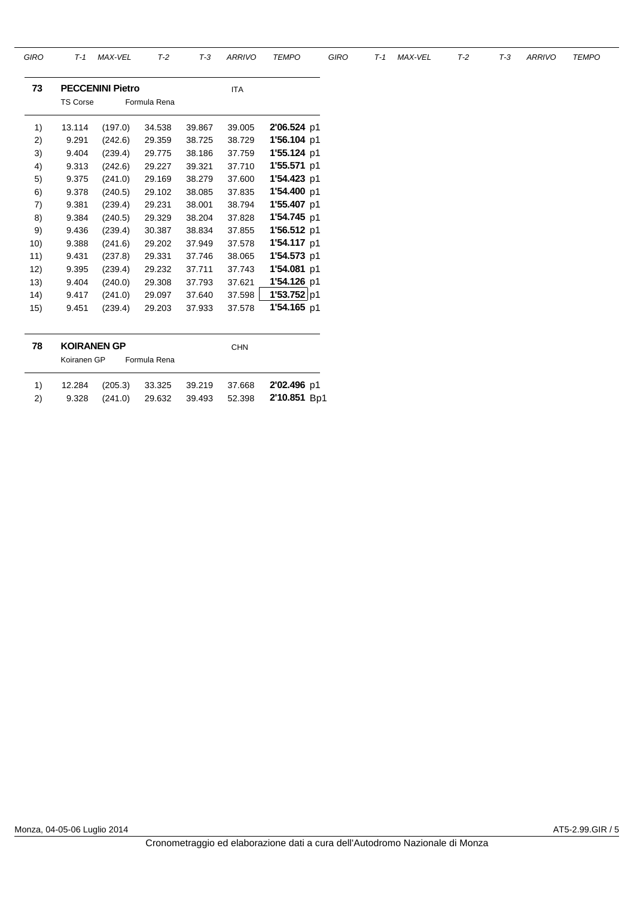| GIRO | $T-1$              | MAX-VEL                 | $T-2$        | $T-3$  | <b>ARRIVO</b> | <b>TEMPO</b>  | <b>GIRO</b> | $T-1$ | <b>MAX-VEL</b> | $T-2$ | $T-3$ | <b>ARRIVO</b> | <b>TEMPO</b> |
|------|--------------------|-------------------------|--------------|--------|---------------|---------------|-------------|-------|----------------|-------|-------|---------------|--------------|
| 73   |                    | <b>PECCENINI Pietro</b> |              |        | <b>ITA</b>    |               |             |       |                |       |       |               |              |
|      | <b>TS Corse</b>    |                         | Formula Rena |        |               |               |             |       |                |       |       |               |              |
| 1)   | 13.114             | (197.0)                 | 34.538       | 39.867 | 39.005        | 2'06.524 p1   |             |       |                |       |       |               |              |
| 2)   | 9.291              | (242.6)                 | 29.359       | 38.725 | 38.729        | 1'56.104 p1   |             |       |                |       |       |               |              |
| 3)   | 9.404              | (239.4)                 | 29.775       | 38.186 | 37.759        | 1'55.124 p1   |             |       |                |       |       |               |              |
| 4)   | 9.313              | (242.6)                 | 29.227       | 39.321 | 37.710        | 1'55.571 p1   |             |       |                |       |       |               |              |
| 5)   | 9.375              | (241.0)                 | 29.169       | 38.279 | 37.600        | 1'54.423 p1   |             |       |                |       |       |               |              |
| 6)   | 9.378              | (240.5)                 | 29.102       | 38.085 | 37.835        | 1'54.400 p1   |             |       |                |       |       |               |              |
| 7)   | 9.381              | (239.4)                 | 29.231       | 38.001 | 38.794        | 1'55.407 p1   |             |       |                |       |       |               |              |
| 8)   | 9.384              | (240.5)                 | 29.329       | 38.204 | 37.828        | 1'54.745 p1   |             |       |                |       |       |               |              |
| 9)   | 9.436              | (239.4)                 | 30.387       | 38.834 | 37.855        | $1'56.512$ p1 |             |       |                |       |       |               |              |
| 10)  | 9.388              | (241.6)                 | 29.202       | 37.949 | 37.578        | 1'54.117 p1   |             |       |                |       |       |               |              |
| 11)  | 9.431              | (237.8)                 | 29.331       | 37.746 | 38.065        | 1'54.573 p1   |             |       |                |       |       |               |              |
| 12)  | 9.395              | (239.4)                 | 29.232       | 37.711 | 37.743        | 1'54.081 p1   |             |       |                |       |       |               |              |
| 13)  | 9.404              | (240.0)                 | 29.308       | 37.793 | 37.621        | 1'54.126 p1   |             |       |                |       |       |               |              |
| (14) | 9.417              | (241.0)                 | 29.097       | 37.640 | 37.598        | 1'53.752 p1   |             |       |                |       |       |               |              |
| 15)  | 9.451              | (239.4)                 | 29.203       | 37.933 | 37.578        | 1'54.165 p1   |             |       |                |       |       |               |              |
|      |                    |                         |              |        |               |               |             |       |                |       |       |               |              |
| 78   | <b>KOIRANEN GP</b> |                         |              |        | <b>CHN</b>    |               |             |       |                |       |       |               |              |
|      | Koiranen GP        |                         | Formula Rena |        |               |               |             |       |                |       |       |               |              |
| 1)   | 12.284             | (205.3)                 | 33.325       | 39.219 | 37.668        | 2'02.496 p1   |             |       |                |       |       |               |              |
| 2)   | 9.328              | (241.0)                 | 29.632       | 39.493 | 52.398        | 2'10.851 Bp1  |             |       |                |       |       |               |              |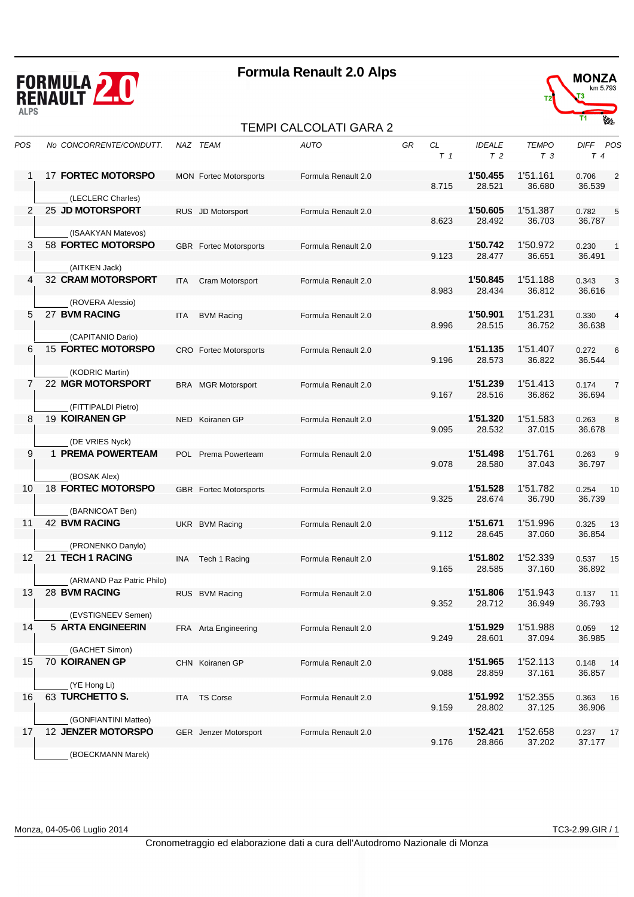

#### TEMPI CALCOLATI GARA 2



| POS | No CONCORRENTE/CONDUTT.                        |            | NAZ TEAM                      | <b>AUTO</b>         | GR | CL<br>T <sub>1</sub> | <b>IDEALE</b><br>T <sub>2</sub> | <b>TEMPO</b><br>T <sub>3</sub> | DIFF POS<br>$T_{4}$               |
|-----|------------------------------------------------|------------|-------------------------------|---------------------|----|----------------------|---------------------------------|--------------------------------|-----------------------------------|
|     | <b>17 FORTEC MOTORSPO</b>                      |            | <b>MON</b> Fortec Motorsports | Formula Renault 2.0 |    | 8.715                | 1'50.455<br>28.521              | 1'51.161<br>36.680             | 0.706<br>$\overline{c}$<br>36.539 |
|     | (LECLERC Charles)                              |            |                               |                     |    |                      |                                 |                                |                                   |
| 2   | 25 JD MOTORSPORT                               |            | RUS JD Motorsport             | Formula Renault 2.0 |    | 8.623                | 1'50.605<br>28.492              | 1'51.387<br>36.703             | 5<br>0.782<br>36.787              |
|     | (ISAAKYAN Matevos)                             |            |                               |                     |    |                      |                                 |                                |                                   |
| 3   | 58 FORTEC MOTORSPO                             |            | <b>GBR</b> Fortec Motorsports | Formula Renault 2.0 |    | 9.123                | 1'50.742<br>28.477              | 1'50.972<br>36.651             | 0.230<br>$\mathbf{1}$<br>36.491   |
|     | (AITKEN Jack)                                  |            |                               |                     |    |                      |                                 |                                |                                   |
| 4   | 32 CRAM MOTORSPORT                             | <b>ITA</b> | Cram Motorsport               | Formula Renault 2.0 |    | 8.983                | 1'50.845<br>28.434              | 1'51.188<br>36.812             | 0.343<br>3<br>36.616              |
|     | (ROVERA Alessio)                               |            |                               |                     |    |                      |                                 |                                |                                   |
| 5   | 27 BVM RACING                                  | <b>ITA</b> | <b>BVM Racing</b>             | Formula Renault 2.0 |    | 8.996                | 1'50.901<br>28.515              | 1'51.231<br>36.752             | 0.330<br>$\overline{4}$<br>36.638 |
|     | (CAPITANIO Dario)                              |            |                               |                     |    |                      |                                 |                                |                                   |
| 6   | <b>15 FORTEC MOTORSPO</b>                      |            | CRO Fortec Motorsports        | Formula Renault 2.0 |    | 9.196                | 1'51.135<br>28.573              | 1'51.407<br>36.822             | 0.272<br>6<br>36.544              |
|     | (KODRIC Martin)                                |            |                               |                     |    |                      |                                 |                                |                                   |
| 7   | 22 MGR MOTORSPORT                              |            | <b>BRA</b> MGR Motorsport     | Formula Renault 2.0 |    | 9.167                | 1'51.239<br>28.516              | 1'51.413<br>36.862             | 0.174<br>$\overline{7}$<br>36.694 |
| 8   | (FITTIPALDI Pietro)<br>19 KOIRANEN GP          |            | NED Koiranen GP               |                     |    |                      | 1'51.320                        | 1'51.583                       |                                   |
|     | (DE VRIES Nyck)                                |            |                               | Formula Renault 2.0 |    | 9.095                | 28.532                          | 37.015                         | 0.263<br>8<br>36.678              |
| 9   | 1 PREMA POWERTEAM                              |            | POL Prema Powerteam           | Formula Renault 2.0 |    |                      | 1'51.498                        | 1'51.761                       | $9\,$<br>0.263                    |
|     | (BOSAK Alex)                                   |            |                               |                     |    | 9.078                | 28.580                          | 37.043                         | 36.797                            |
| 10  | <b>18 FORTEC MOTORSPO</b>                      |            | <b>GBR</b> Fortec Motorsports | Formula Renault 2.0 |    |                      | 1'51.528                        | 1'51.782                       | 0.254<br>10                       |
|     | (BARNICOAT Ben)                                |            |                               |                     |    | 9.325                | 28.674                          | 36.790                         | 36.739                            |
| 11  | <b>42 BVM RACING</b>                           |            | UKR BVM Racing                | Formula Renault 2.0 |    |                      | 1'51.671                        | 1'51.996                       | 0.325<br>13                       |
|     | (PRONENKO Danylo)                              |            |                               |                     |    | 9.112                | 28.645                          | 37.060                         | 36.854                            |
| 12  | 21 TECH 1 RACING                               | <b>INA</b> | Tech 1 Racing                 | Formula Renault 2.0 |    |                      | 1'51.802                        | 1'52.339                       | 0.537<br>15                       |
|     |                                                |            |                               |                     |    | 9.165                | 28.585                          | 37.160                         | 36.892                            |
|     | (ARMAND Paz Patric Philo)                      |            |                               |                     |    |                      |                                 |                                |                                   |
| 13  | 28 BVM RACING                                  |            | RUS BVM Racing                | Formula Renault 2.0 |    | 9.352                | 1'51.806<br>28.712              | 1'51.943<br>36.949             | 0.137<br>11<br>36.793             |
|     | (EVSTIGNEEV Semen)                             |            |                               |                     |    |                      |                                 |                                |                                   |
| 14  | <b>5 ARTA ENGINEERIN</b>                       |            | FRA Arta Engineering          | Formula Renault 2.0 |    | 9.249                | 1'51.929<br>28.601              | 1'51.988<br>37.094             | 0.059<br>12<br>36.985             |
|     | (GACHET Simon)<br>70 KOIRANEN GP               |            |                               |                     |    |                      |                                 |                                |                                   |
| 15  | (YE Hong Li)                                   |            | CHN Koiranen GP               | Formula Renault 2.0 |    | 9.088                | 1'51.965<br>28.859              | 1'52.113<br>37.161             | 0.148<br>14<br>36.857             |
| 16  | 63 TURCHETTO S.                                |            | <b>TS Corse</b>               | Formula Renault 2.0 |    |                      | 1'51.992                        | 1'52.355                       | 0.363                             |
|     |                                                | ITA        |                               |                     |    | 9.159                | 28.802                          | 37.125                         | 16<br>36.906                      |
|     | (GONFIANTINI Matteo)                           |            |                               |                     |    |                      |                                 |                                |                                   |
| 17  | <b>12 JENZER MOTORSPO</b><br>(BOECKMANN Marek) |            | <b>GER</b> Jenzer Motorsport  | Formula Renault 2.0 |    | 9.176                | 1'52.421<br>28.866              | 1'52.658<br>37.202             | 0.237<br>17<br>37.177             |
|     |                                                |            |                               |                     |    |                      |                                 |                                |                                   |

Monza, 04-05-06 Luglio 2014 TC3-2.99.GIR / 1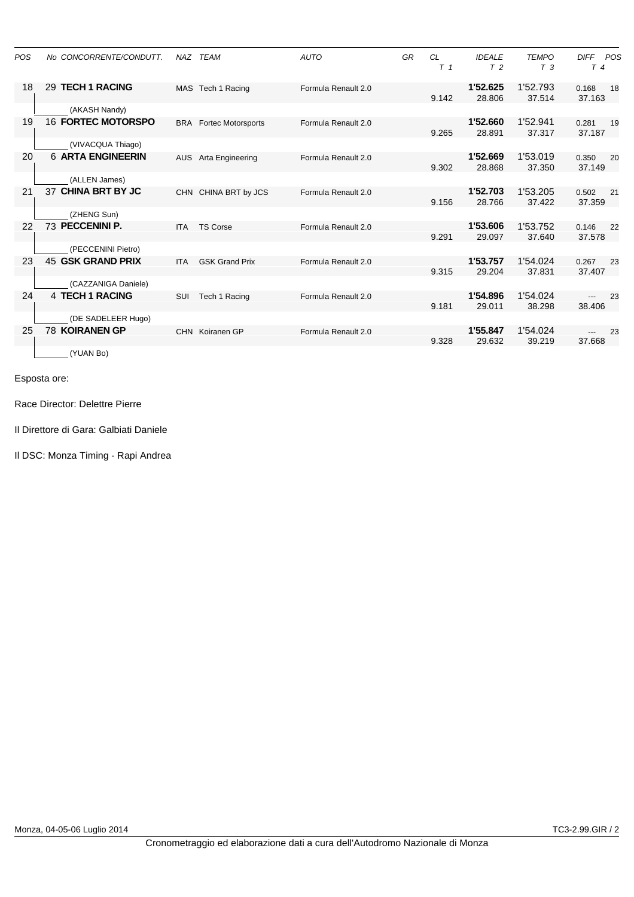| <b>POS</b> | No CONCORRENTE/CONDUTT.   |            | NAZ TEAM                  | <b>AUTO</b>         | GR | <b>CL</b><br>T <sub>1</sub> | <b>IDEALE</b><br>T <sub>2</sub> | <b>TEMPO</b><br>T <sub>3</sub> | <b>DIFF</b><br>POS<br>$T_{4}$ |
|------------|---------------------------|------------|---------------------------|---------------------|----|-----------------------------|---------------------------------|--------------------------------|-------------------------------|
| 18         | 29 TECH 1 RACING          |            | MAS Tech 1 Racing         | Formula Renault 2.0 |    | 9.142                       | 1'52.625<br>28.806              | 1'52.793<br>37.514             | 0.168<br>18<br>37.163         |
|            | (AKASH Nandy)             |            |                           |                     |    |                             |                                 |                                |                               |
| 19         | <b>16 FORTEC MOTORSPO</b> | <b>BRA</b> | <b>Fortec Motorsports</b> | Formula Renault 2.0 |    | 9.265                       | 1'52.660<br>28.891              | 1'52.941<br>37.317             | 0.281<br>19<br>37.187         |
|            | (VIVACQUA Thiago)         |            |                           |                     |    |                             |                                 |                                |                               |
| 20         | <b>6 ARTA ENGINEERIN</b>  | <b>AUS</b> | Arta Engineering          | Formula Renault 2.0 |    | 9.302                       | 1'52.669<br>28.868              | 1'53.019<br>37.350             | 0.350<br>20<br>37.149         |
|            | (ALLEN James)             |            |                           |                     |    |                             |                                 |                                |                               |
| 21         | 37 CHINA BRT BY JC        |            | CHN CHINA BRT by JCS      | Formula Renault 2.0 |    | 9.156                       | 1'52.703<br>28.766              | 1'53.205<br>37.422             | 0.502<br>21<br>37.359         |
|            | (ZHENG Sun)               |            |                           |                     |    |                             |                                 |                                |                               |
| 22         | 73 PECCENINI P.           | <b>ITA</b> | <b>TS Corse</b>           | Formula Renault 2.0 |    | 9.291                       | 1'53.606<br>29.097              | 1'53.752<br>37.640             | 0.146<br>22<br>37.578         |
|            | (PECCENINI Pietro)        |            |                           |                     |    |                             |                                 |                                |                               |
| 23         | 45 GSK GRAND PRIX         | <b>ITA</b> | <b>GSK Grand Prix</b>     | Formula Renault 2.0 |    | 9.315                       | 1'53.757<br>29.204              | 1'54.024<br>37.831             | 0.267<br>23<br>37.407         |
|            | (CAZZANIGA Daniele)       |            |                           |                     |    |                             |                                 |                                |                               |
| 24         | 4 TECH 1 RACING           | <b>SUI</b> | Tech 1 Racing             | Formula Renault 2.0 |    | 9.181                       | 1'54.896<br>29.011              | 1'54.024<br>38.298             | 23<br>---<br>38.406           |
|            | (DE SADELEER Hugo)        |            |                           |                     |    |                             |                                 |                                |                               |
| 25         | <b>78 KOIRANEN GP</b>     |            | CHN Koiranen GP           | Formula Renault 2.0 |    | 9.328                       | 1'55.847<br>29.632              | 1'54.024<br>39.219             | 23<br>37.668                  |
|            | (YUAN Bo)                 |            |                           |                     |    |                             |                                 |                                |                               |

Race Director: Delettre Pierre

Il Direttore di Gara: Galbiati Daniele

Il DSC: Monza Timing - Rapi Andrea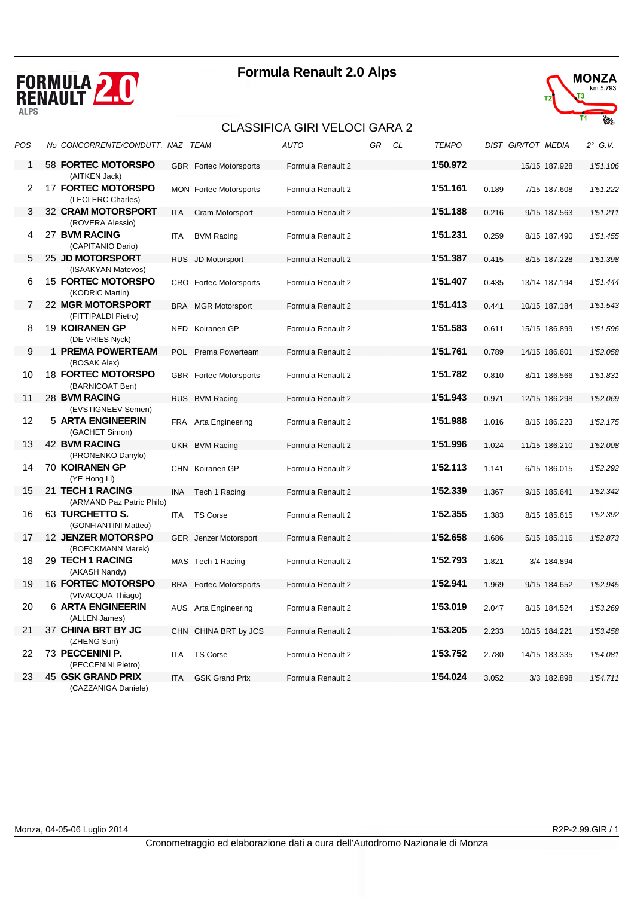





| POS | No CONCORRENTE/CONDUTT. NAZ TEAM                          |      |                               | <b>AUTO</b>       | GR | CL | <b>TEMPO</b> |       | DIST GIR/TOT MEDIA | $2^{\circ}$ G.V. |
|-----|-----------------------------------------------------------|------|-------------------------------|-------------------|----|----|--------------|-------|--------------------|------------------|
| 1   | 58 FORTEC MOTORSPO<br>(AITKEN Jack)                       |      | <b>GBR</b> Fortec Motorsports | Formula Renault 2 |    |    | 1'50.972     |       | 15/15 187.928      | 1'51.106         |
| 2   | <b>17 FORTEC MOTORSPO</b><br>(LECLERC Charles)            |      | <b>MON</b> Fortec Motorsports | Formula Renault 2 |    |    | 1'51.161     | 0.189 | 7/15 187.608       | 1'51.222         |
| 3   | 32 CRAM MOTORSPORT                                        | ITA  | Cram Motorsport               | Formula Renault 2 |    |    | 1'51.188     | 0.216 | 9/15 187.563       | 1'51.211         |
| 4   | (ROVERA Alessio)<br>27 BVM RACING<br>(CAPITANIO Dario)    | ITA  | <b>BVM Racing</b>             | Formula Renault 2 |    |    | 1'51.231     | 0.259 | 8/15 187.490       | 1'51.455         |
| 5   | 25 JD MOTORSPORT                                          |      | RUS JD Motorsport             | Formula Renault 2 |    |    | 1'51.387     | 0.415 | 8/15 187.228       | 1'51.398         |
|     | (ISAAKYAN Matevos)                                        |      |                               |                   |    |    |              |       |                    |                  |
| 6   | <b>15 FORTEC MOTORSPO</b><br>(KODRIC Martin)              |      | CRO Fortec Motorsports        | Formula Renault 2 |    |    | 1'51.407     | 0.435 | 13/14 187.194      | 1'51.444         |
| 7   | 22 MGR MOTORSPORT                                         |      | <b>BRA</b> MGR Motorsport     | Formula Renault 2 |    |    | 1'51.413     | 0.441 | 10/15 187.184      | 1'51.543         |
| 8   | (FITTIPALDI Pietro)<br>19 KOIRANEN GP                     |      | NED Koiranen GP               | Formula Renault 2 |    |    | 1'51.583     | 0.611 | 15/15 186.899      | 1'51.596         |
| 9   | (DE VRIES Nyck)<br>1 PREMA POWERTEAM                      |      |                               |                   |    |    | 1'51.761     | 0.789 | 14/15 186.601      |                  |
|     | (BOSAK Alex)                                              |      | POL Prema Powerteam           | Formula Renault 2 |    |    |              |       |                    | 1'52.058         |
| 10  | <b>18 FORTEC MOTORSPO</b><br>(BARNICOAT Ben)              |      | <b>GBR</b> Fortec Motorsports | Formula Renault 2 |    |    | 1'51.782     | 0.810 | 8/11 186.566       | 1'51.831         |
| 11  | 28 BVM RACING                                             |      | RUS BVM Racing                | Formula Renault 2 |    |    | 1'51.943     | 0.971 | 12/15 186.298      | 1'52.069         |
| 12  | (EVSTIGNEEV Semen)<br>5 ARTA ENGINEERIN<br>(GACHET Simon) |      | FRA Arta Engineering          | Formula Renault 2 |    |    | 1'51.988     | 1.016 | 8/15 186.223       | 1'52.175         |
| 13  | <b>42 BVM RACING</b>                                      |      | UKR BVM Racing                | Formula Renault 2 |    |    | 1'51.996     | 1.024 | 11/15 186.210      | 1'52.008         |
|     | (PRONENKO Danylo)                                         |      |                               |                   |    |    |              |       |                    |                  |
| 14  | <b>70 KOIRANEN GP</b><br>(YE Hong Li)                     |      | CHN Koiranen GP               | Formula Renault 2 |    |    | 1'52.113     | 1.141 | 6/15 186.015       | 1'52.292         |
| 15  | 21 TECH 1 RACING                                          | INA  | Tech 1 Racing                 | Formula Renault 2 |    |    | 1'52.339     | 1.367 | 9/15 185.641       | 1'52.342         |
|     | (ARMAND Paz Patric Philo)                                 |      |                               |                   |    |    |              |       |                    |                  |
| 16  | 63 TURCHETTO S.<br>(GONFIANTINI Matteo)                   | ITA  | <b>TS Corse</b>               | Formula Renault 2 |    |    | 1'52.355     | 1.383 | 8/15 185.615       | 1'52.392         |
| 17  | <b>12 JENZER MOTORSPO</b>                                 |      | GER Jenzer Motorsport         | Formula Renault 2 |    |    | 1'52.658     | 1.686 | 5/15 185.116       | 1'52.873         |
| 18  | (BOECKMANN Marek)<br>29 TECH 1 RACING<br>(AKASH Nandy)    |      | MAS Tech 1 Racing             | Formula Renault 2 |    |    | 1'52.793     | 1.821 | 3/4 184.894        |                  |
| 19  | <b>16 FORTEC MOTORSPO</b><br>(VIVACQUA Thiago)            |      | <b>BRA</b> Fortec Motorsports | Formula Renault 2 |    |    | 1'52.941     | 1.969 | 9/15 184.652       | 1'52.945         |
| 20  | <b>6 ARTA ENGINEERIN</b><br>(ALLEN James)                 |      | AUS Arta Engineering          | Formula Renault 2 |    |    | 1'53.019     | 2.047 | 8/15 184.524       | 1'53.269         |
| 21  | 37 CHINA BRT BY JC<br>(ZHENG Sun)                         |      | CHN CHINA BRT by JCS          | Formula Renault 2 |    |    | 1'53.205     | 2.233 | 10/15 184.221      | 1'53.458         |
| 22  | 73 PECCENINI P.<br>(PECCENINI Pietro)                     | ITA  | <b>TS Corse</b>               | Formula Renault 2 |    |    | 1'53.752     | 2.780 | 14/15 183.335      | 1'54.081         |
| 23  | <b>45 GSK GRAND PRIX</b><br>(CAZZANIGA Daniele)           | ITA. | <b>GSK Grand Prix</b>         | Formula Renault 2 |    |    | 1'54.024     | 3.052 | 3/3 182.898        | 1'54.711         |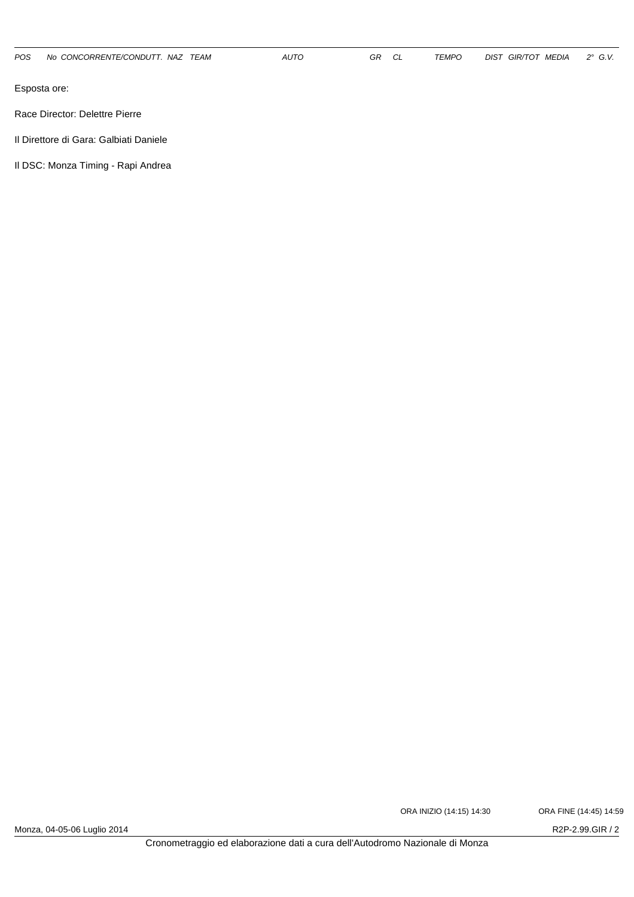Race Director: Delettre Pierre

Il Direttore di Gara: Galbiati Daniele

Il DSC: Monza Timing - Rapi Andrea

ORA INIZIO (14:15) 14:30 ORA FINE (14:45) 14:59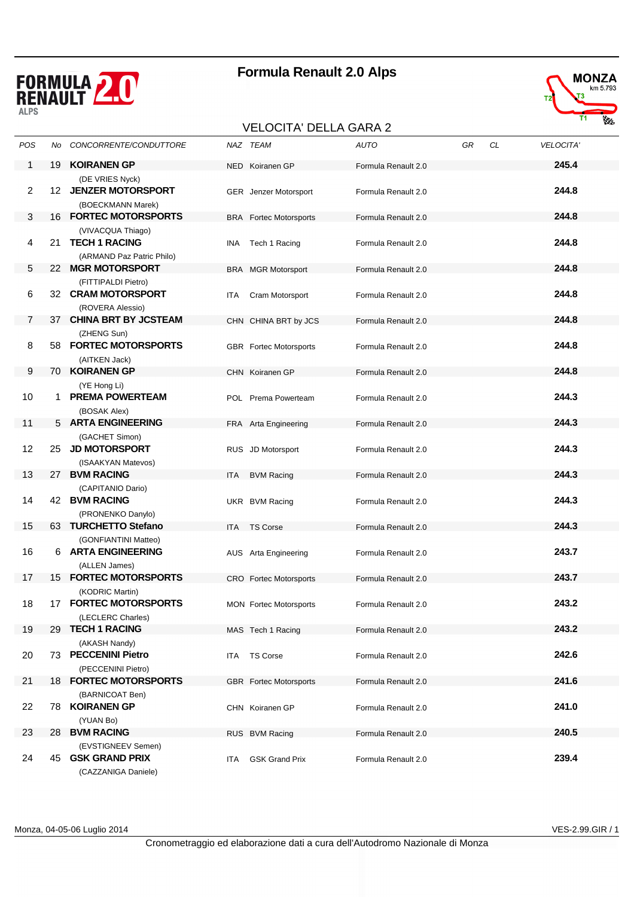





| POS            | No | CONCORRENTE/CONDUTTORE                                             |      | NAZ TEAM                      | <b>AUTO</b>         | GR | CL | <b>VELOCITA'</b> |
|----------------|----|--------------------------------------------------------------------|------|-------------------------------|---------------------|----|----|------------------|
| 1              | 19 | <b>KOIRANEN GP</b>                                                 |      | NED Koiranen GP               | Formula Renault 2.0 |    |    | 245.4            |
| 2              |    | (DE VRIES Nyck)<br>12 JENZER MOTORSPORT<br>(BOECKMANN Marek)       |      | GER Jenzer Motorsport         | Formula Renault 2.0 |    |    | 244.8            |
| 3              |    | 16 FORTEC MOTORSPORTS                                              |      | <b>BRA</b> Fortec Motorsports | Formula Renault 2.0 |    |    | 244.8            |
| 4              |    | (VIVACQUA Thiago)<br>21 TECH 1 RACING<br>(ARMAND Paz Patric Philo) | INA  | Tech 1 Racing                 | Formula Renault 2.0 |    |    | 244.8            |
| 5              | 22 | <b>MGR MOTORSPORT</b>                                              |      | <b>BRA</b> MGR Motorsport     | Formula Renault 2.0 |    |    | 244.8            |
| 6              |    | (FITTIPALDI Pietro)<br>32 CRAM MOTORSPORT<br>(ROVERA Alessio)      | ITA  | Cram Motorsport               | Formula Renault 2.0 |    |    | 244.8            |
| $\overline{7}$ |    | 37 CHINA BRT BY JCSTEAM                                            |      | CHN CHINA BRT by JCS          | Formula Renault 2.0 |    |    | 244.8            |
| 8              |    | (ZHENG Sun)<br>58 FORTEC MOTORSPORTS<br>(AITKEN Jack)              |      | <b>GBR</b> Fortec Motorsports | Formula Renault 2.0 |    |    | 244.8            |
| 9              |    | 70 KOIRANEN GP                                                     |      | CHN Koiranen GP               | Formula Renault 2.0 |    |    | 244.8            |
| 10             |    | (YE Hong Li)<br>1 PREMA POWERTEAM<br>(BOSAK Alex)                  |      | POL Prema Powerteam           | Formula Renault 2.0 |    |    | 244.3            |
| 11             |    | 5 ARTA ENGINEERING                                                 |      | FRA Arta Engineering          | Formula Renault 2.0 |    |    | 244.3            |
| 12             |    | (GACHET Simon)<br>25 JD MOTORSPORT<br>(ISAAKYAN Matevos)           |      | RUS JD Motorsport             | Formula Renault 2.0 |    |    | 244.3            |
| 13             |    | 27 BVM RACING                                                      | ITA  | <b>BVM Racing</b>             | Formula Renault 2.0 |    |    | 244.3            |
| 14             |    | (CAPITANIO Dario)<br>42 BVM RACING<br>(PRONENKO Danylo)            |      | UKR BVM Racing                | Formula Renault 2.0 |    |    | 244.3            |
| 15             |    | 63 TURCHETTO Stefano                                               |      | ITA TS Corse                  | Formula Renault 2.0 |    |    | 244.3            |
| 16             |    | (GONFIANTINI Matteo)<br>6 ARTA ENGINEERING<br>(ALLEN James)        |      | AUS Arta Engineering          | Formula Renault 2.0 |    |    | 243.7            |
| 17             |    | <b>15 FORTEC MOTORSPORTS</b>                                       |      | CRO Fortec Motorsports        | Formula Renault 2.0 |    |    | 243.7            |
| 18             |    | (KODRIC Martin)<br>17 FORTEC MOTORSPORTS<br>(LECLERC Charles)      |      | <b>MON</b> Fortec Motorsports | Formula Renault 2.0 |    |    | 243.2            |
| 19             | 29 | <b>TECH 1 RACING</b>                                               |      | MAS Tech 1 Racing             | Formula Renault 2.0 |    |    | 243.2            |
| 20             |    | (AKASH Nandy)<br>73 PECCENINI Pietro<br>(PECCENINI Pietro)         | ITA. | <b>TS Corse</b>               | Formula Renault 2.0 |    |    | 242.6            |
| 21             |    | <b>18 FORTEC MOTORSPORTS</b>                                       |      | <b>GBR</b> Fortec Motorsports | Formula Renault 2.0 |    |    | 241.6            |
| 22             |    | (BARNICOAT Ben)<br>78 KOIRANEN GP<br>(YUAN Bo)                     |      | CHN Koiranen GP               | Formula Renault 2.0 |    |    | 241.0            |
| 23             |    | 28 BVM RACING                                                      |      | RUS BVM Racing                | Formula Renault 2.0 |    |    | 240.5            |
| 24             | 45 | (EVSTIGNEEV Semen)<br><b>GSK GRAND PRIX</b><br>(CAZZANIGA Daniele) | ITA. | <b>GSK Grand Prix</b>         | Formula Renault 2.0 |    |    | 239.4            |

Monza, 04-05-06 Luglio 2014 VES-2.99.GIR / 1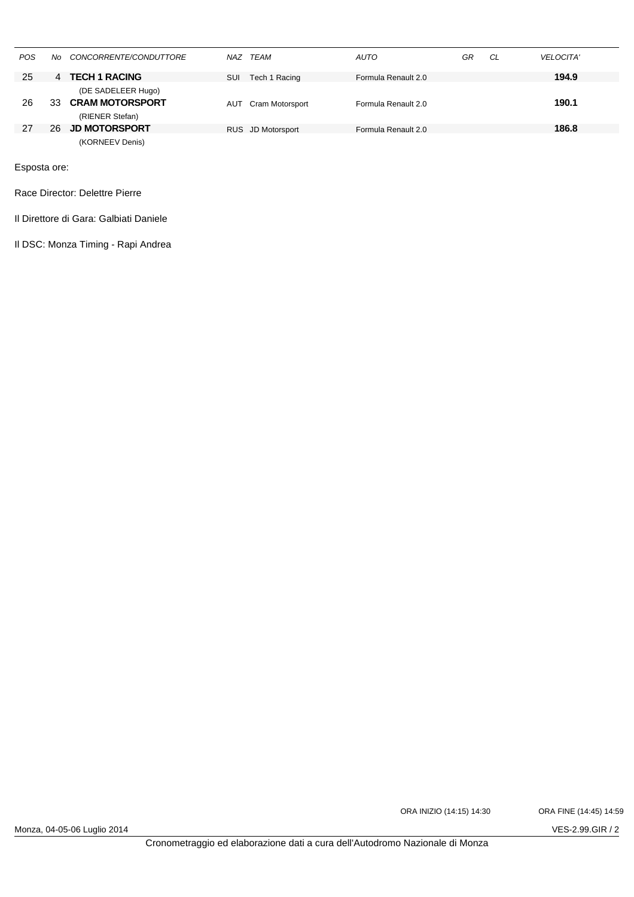| <b>POS</b> | No. | CONCORRENTE/CONDUTTORE                       |     | NAZ TEAM          | <b>AUTO</b>         | GR | CL | <b>VELOCITA'</b> |
|------------|-----|----------------------------------------------|-----|-------------------|---------------------|----|----|------------------|
| 25         | 4   | <b>TECH 1 RACING</b>                         | SUI | Tech 1 Racing     | Formula Renault 2.0 |    |    | 194.9            |
| 26         | 33  | (DE SADELEER Hugo)<br><b>CRAM MOTORSPORT</b> | AUT | Cram Motorsport   | Formula Renault 2.0 |    |    | 190.1            |
|            |     | (RIENER Stefan)                              |     |                   |                     |    |    |                  |
| 27         | 26. | <b>JD MOTORSPORT</b>                         |     | RUS JD Motorsport | Formula Renault 2.0 |    |    | 186.8            |
|            |     | (KORNEEV Denis)                              |     |                   |                     |    |    |                  |

Race Director: Delettre Pierre

Il Direttore di Gara: Galbiati Daniele

Il DSC: Monza Timing - Rapi Andrea

ORA INIZIO (14:15) 14:30 ORA FINE (14:45) 14:59